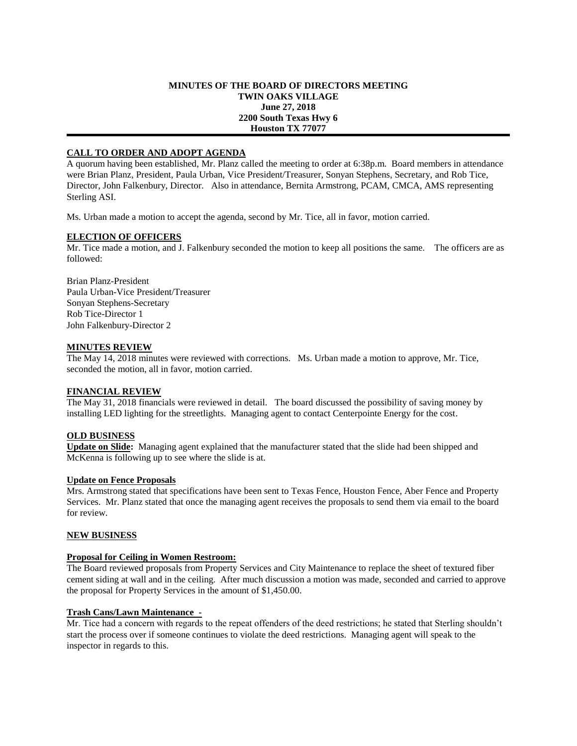### **MINUTES OF THE BOARD OF DIRECTORS MEETING TWIN OAKS VILLAGE June 27, 2018 2200 South Texas Hwy 6 Houston TX 77077**

# **CALL TO ORDER AND ADOPT AGENDA**

A quorum having been established, Mr. Planz called the meeting to order at 6:38p.m. Board members in attendance were Brian Planz, President, Paula Urban, Vice President/Treasurer, Sonyan Stephens, Secretary, and Rob Tice, Director, John Falkenbury, Director. Also in attendance, Bernita Armstrong, PCAM, CMCA, AMS representing Sterling ASI.

Ms. Urban made a motion to accept the agenda, second by Mr. Tice, all in favor, motion carried.

#### **ELECTION OF OFFICERS**

Mr. Tice made a motion, and J. Falkenbury seconded the motion to keep all positions the same. The officers are as followed:

Brian Planz-President Paula Urban-Vice President/Treasurer Sonyan Stephens-Secretary Rob Tice-Director 1 John Falkenbury-Director 2

### **MINUTES REVIEW**

The May 14, 2018 minutes were reviewed with corrections. Ms. Urban made a motion to approve, Mr. Tice, seconded the motion, all in favor, motion carried.

#### **FINANCIAL REVIEW**

The May 31, 2018 financials were reviewed in detail. The board discussed the possibility of saving money by installing LED lighting for the streetlights. Managing agent to contact Centerpointe Energy for the cost.

#### **OLD BUSINESS**

**Update on Slide:** Managing agent explained that the manufacturer stated that the slide had been shipped and McKenna is following up to see where the slide is at.

#### **Update on Fence Proposals**

Mrs. Armstrong stated that specifications have been sent to Texas Fence, Houston Fence, Aber Fence and Property Services. Mr. Planz stated that once the managing agent receives the proposals to send them via email to the board for review.

### **NEW BUSINESS**

# **Proposal for Ceiling in Women Restroom:**

The Board reviewed proposals from Property Services and City Maintenance to replace the sheet of textured fiber cement siding at wall and in the ceiling. After much discussion a motion was made, seconded and carried to approve the proposal for Property Services in the amount of \$1,450.00.

# **Trash Cans/Lawn Maintenance -**

Mr. Tice had a concern with regards to the repeat offenders of the deed restrictions; he stated that Sterling shouldn't start the process over if someone continues to violate the deed restrictions. Managing agent will speak to the inspector in regards to this.